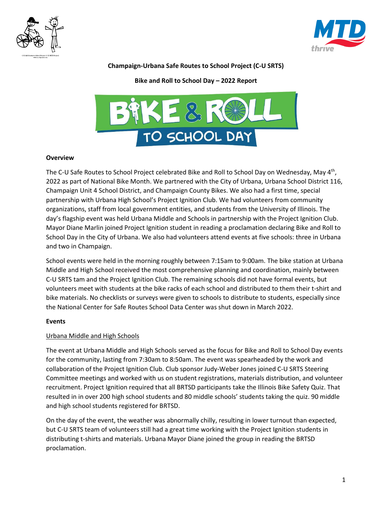



## **Champaign-Urbana Safe Routes to School Project (C-U SRTS)**

**Bike and Roll to School Day – 2022 Report**



#### **Overview**

The C-U Safe Routes to School Project celebrated Bike and Roll to School Day on Wednesday, May 4<sup>th</sup>, 2022 as part of National Bike Month. We partnered with the City of Urbana, Urbana School District 116, Champaign Unit 4 School District, and Champaign County Bikes. We also had a first time, special partnership with Urbana High School's Project Ignition Club. We had volunteers from community organizations, staff from local government entities, and students from the University of Illinois. The day's flagship event was held Urbana Middle and Schools in partnership with the Project Ignition Club. Mayor Diane Marlin joined Project Ignition student in reading a proclamation declaring Bike and Roll to School Day in the City of Urbana. We also had volunteers attend events at five schools: three in Urbana and two in Champaign.

School events were held in the morning roughly between 7:15am to 9:00am. The bike station at Urbana Middle and High School received the most comprehensive planning and coordination, mainly between C-U SRTS tam and the Project Ignition Club. The remaining schools did not have formal events, but volunteers meet with students at the bike racks of each school and distributed to them their t-shirt and bike materials. No checklists or surveys were given to schools to distribute to students, especially since the National Center for Safe Routes School Data Center was shut down in March 2022.

## **Events**

## Urbana Middle and High Schools

The event at Urbana Middle and High Schools served as the focus for Bike and Roll to School Day events for the community, lasting from 7:30am to 8:50am. The event was spearheaded by the work and collaboration of the Project Ignition Club. Club sponsor Judy-Weber Jones joined C-U SRTS Steering Committee meetings and worked with us on student registrations, materials distribution, and volunteer recruitment. Project Ignition required that all BRTSD participants take the Illinois Bike Safety Quiz. That resulted in in over 200 high school students and 80 middle schools' students taking the quiz. 90 middle and high school students registered for BRTSD.

On the day of the event, the weather was abnormally chilly, resulting in lower turnout than expected, but C-U SRTS team of volunteers still had a great time working with the Project Ignition students in distributing t-shirts and materials. Urbana Mayor Diane joined the group in reading the BRTSD proclamation.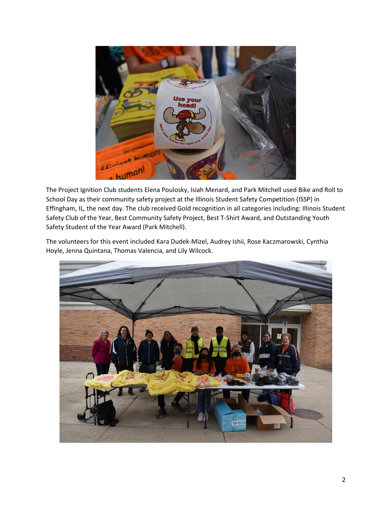

The Project Ignition Club students Elena Poulosky, Isiah Menard, and Park Mitchell used Bike and Roll to School Day as their community safety project at the Illinois Student Safety Competition (ISSP) in Effingham, IL, the next day. The club received Gold recognition in all categories including: Illinois Student Safety Club of the Year, Best Community Safety Project, Best T-Shirt Award, and Outstanding Youth Safety Student of the Year Award (Park Mitchell).

The volunteers for this event included Kara Dudek-Mizel, Audrey Ishii, Rose Kaczmarowski, Cynthia Hoyle, Jenna Quintana, Thomas Valencia, and Lily Wilcock.

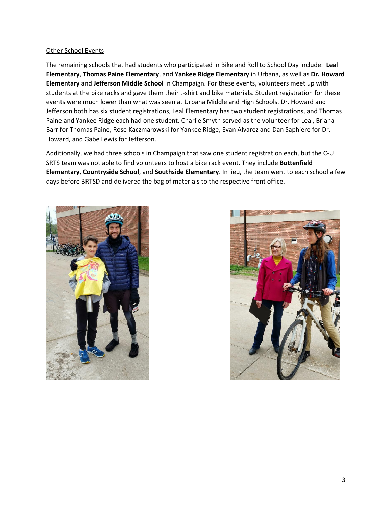#### Other School Events

The remaining schools that had students who participated in Bike and Roll to School Day include: **Leal Elementary**, **Thomas Paine Elementary**, and **Yankee Ridge Elementary** in Urbana, as well as **Dr. Howard Elementary** and **Jefferson Middle School** in Champaign. For these events, volunteers meet up with students at the bike racks and gave them their t-shirt and bike materials. Student registration for these events were much lower than what was seen at Urbana Middle and High Schools. Dr. Howard and Jefferson both has six student registrations, Leal Elementary has two student registrations, and Thomas Paine and Yankee Ridge each had one student. Charlie Smyth served as the volunteer for Leal, Briana Barr for Thomas Paine, Rose Kaczmarowski for Yankee Ridge, Evan Alvarez and Dan Saphiere for Dr. Howard, and Gabe Lewis for Jefferson.

Additionally, we had three schools in Champaign that saw one student registration each, but the C-U SRTS team was not able to find volunteers to host a bike rack event. They include **Bottenfield Elementary**, **Countryside School**, and **Southside Elementary**. In lieu, the team went to each school a few days before BRTSD and delivered the bag of materials to the respective front office.